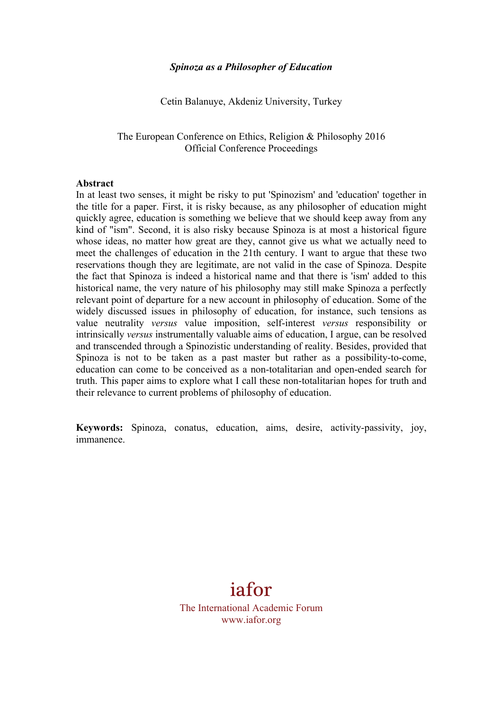#### *Spinoza as a Philosopher of Education*

Cetin Balanuye, Akdeniz University, Turkey

The European Conference on Ethics, Religion & Philosophy 2016 Official Conference Proceedings

#### **Abstract**

In at least two senses, it might be risky to put 'Spinozism' and 'education' together in the title for a paper. First, it is risky because, as any philosopher of education might quickly agree, education is something we believe that we should keep away from any kind of "ism". Second, it is also risky because Spinoza is at most a historical figure whose ideas, no matter how great are they, cannot give us what we actually need to meet the challenges of education in the 21th century. I want to argue that these two reservations though they are legitimate, are not valid in the case of Spinoza. Despite the fact that Spinoza is indeed a historical name and that there is 'ism' added to this historical name, the very nature of his philosophy may still make Spinoza a perfectly relevant point of departure for a new account in philosophy of education. Some of the widely discussed issues in philosophy of education, for instance, such tensions as value neutrality *versus* value imposition, self-interest *versus* responsibility or intrinsically *versus* instrumentally valuable aims of education, I argue, can be resolved and transcended through a Spinozistic understanding of reality. Besides, provided that Spinoza is not to be taken as a past master but rather as a possibility-to-come, education can come to be conceived as a non-totalitarian and open-ended search for truth. This paper aims to explore what I call these non-totalitarian hopes for truth and their relevance to current problems of philosophy of education.

**Keywords:** Spinoza, conatus, education, aims, desire, activity-passivity, joy, immanence.

# iafor

The International Academic Forum www.iafor.org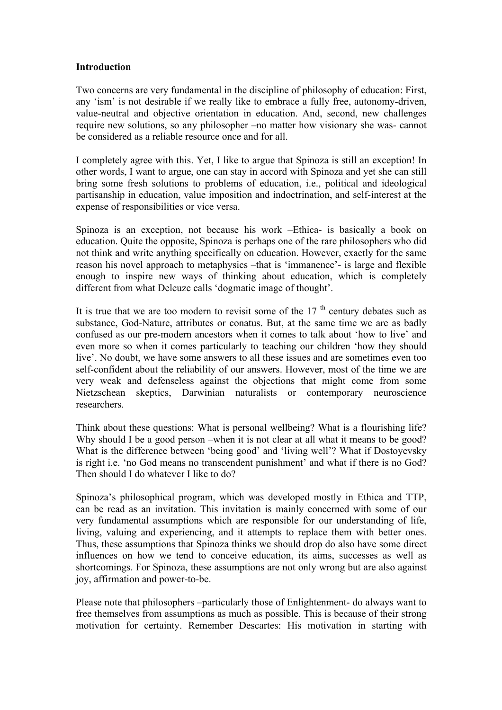## **Introduction**

Two concerns are very fundamental in the discipline of philosophy of education: First, any 'ism' is not desirable if we really like to embrace a fully free, autonomy-driven, value-neutral and objective orientation in education. And, second, new challenges require new solutions, so any philosopher –no matter how visionary she was- cannot be considered as a reliable resource once and for all.

I completely agree with this. Yet, I like to argue that Spinoza is still an exception! In other words, I want to argue, one can stay in accord with Spinoza and yet she can still bring some fresh solutions to problems of education, i.e., political and ideological partisanship in education, value imposition and indoctrination, and self-interest at the expense of responsibilities or vice versa.

Spinoza is an exception, not because his work –Ethica- is basically a book on education. Quite the opposite, Spinoza is perhaps one of the rare philosophers who did not think and write anything specifically on education. However, exactly for the same reason his novel approach to metaphysics –that is 'immanence'- is large and flexible enough to inspire new ways of thinking about education, which is completely different from what Deleuze calls 'dogmatic image of thought'.

It is true that we are too modern to revisit some of the  $17<sup>th</sup>$  century debates such as substance, God-Nature, attributes or conatus. But, at the same time we are as badly confused as our pre-modern ancestors when it comes to talk about 'how to live' and even more so when it comes particularly to teaching our children 'how they should live'. No doubt, we have some answers to all these issues and are sometimes even too self-confident about the reliability of our answers. However, most of the time we are very weak and defenseless against the objections that might come from some Nietzschean skeptics, Darwinian naturalists or contemporary neuroscience researchers.

Think about these questions: What is personal wellbeing? What is a flourishing life? Why should I be a good person –when it is not clear at all what it means to be good? What is the difference between 'being good' and 'living well'? What if Dostoyevsky is right i.e. 'no God means no transcendent punishment' and what if there is no God? Then should I do whatever I like to do?

Spinoza's philosophical program, which was developed mostly in Ethica and TTP, can be read as an invitation. This invitation is mainly concerned with some of our very fundamental assumptions which are responsible for our understanding of life, living, valuing and experiencing, and it attempts to replace them with better ones. Thus, these assumptions that Spinoza thinks we should drop do also have some direct influences on how we tend to conceive education, its aims, successes as well as shortcomings. For Spinoza, these assumptions are not only wrong but are also against joy, affirmation and power-to-be.

Please note that philosophers –particularly those of Enlightenment- do always want to free themselves from assumptions as much as possible. This is because of their strong motivation for certainty. Remember Descartes: His motivation in starting with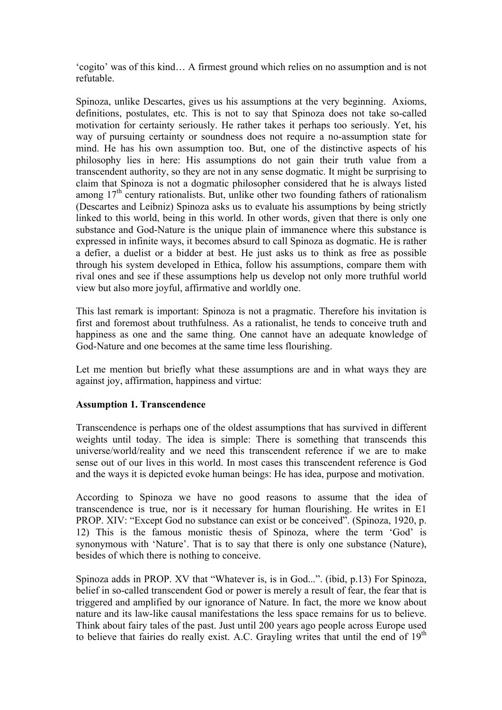'cogito' was of this kind… A firmest ground which relies on no assumption and is not refutable.

Spinoza, unlike Descartes, gives us his assumptions at the very beginning. Axioms, definitions, postulates, etc. This is not to say that Spinoza does not take so-called motivation for certainty seriously. He rather takes it perhaps too seriously. Yet, his way of pursuing certainty or soundness does not require a no-assumption state for mind. He has his own assumption too. But, one of the distinctive aspects of his philosophy lies in here: His assumptions do not gain their truth value from a transcendent authority, so they are not in any sense dogmatic. It might be surprising to claim that Spinoza is not a dogmatic philosopher considered that he is always listed among  $17<sup>th</sup>$  century rationalists. But, unlike other two founding fathers of rationalism (Descartes and Leibniz) Spinoza asks us to evaluate his assumptions by being strictly linked to this world, being in this world. In other words, given that there is only one substance and God-Nature is the unique plain of immanence where this substance is expressed in infinite ways, it becomes absurd to call Spinoza as dogmatic. He is rather a defier, a duelist or a bidder at best. He just asks us to think as free as possible through his system developed in Ethica, follow his assumptions, compare them with rival ones and see if these assumptions help us develop not only more truthful world view but also more joyful, affirmative and worldly one.

This last remark is important: Spinoza is not a pragmatic. Therefore his invitation is first and foremost about truthfulness. As a rationalist, he tends to conceive truth and happiness as one and the same thing. One cannot have an adequate knowledge of God-Nature and one becomes at the same time less flourishing.

Let me mention but briefly what these assumptions are and in what ways they are against joy, affirmation, happiness and virtue:

## **Assumption 1. Transcendence**

Transcendence is perhaps one of the oldest assumptions that has survived in different weights until today. The idea is simple: There is something that transcends this universe/world/reality and we need this transcendent reference if we are to make sense out of our lives in this world. In most cases this transcendent reference is God and the ways it is depicted evoke human beings: He has idea, purpose and motivation.

According to Spinoza we have no good reasons to assume that the idea of transcendence is true, nor is it necessary for human flourishing. He writes in E1 PROP. XIV: "Except God no substance can exist or be conceived". (Spinoza, 1920, p. 12) This is the famous monistic thesis of Spinoza, where the term 'God' is synonymous with 'Nature'. That is to say that there is only one substance (Nature), besides of which there is nothing to conceive.

Spinoza adds in PROP. XV that "Whatever is, is in God...". (ibid, p.13) For Spinoza, belief in so-called transcendent God or power is merely a result of fear, the fear that is triggered and amplified by our ignorance of Nature. In fact, the more we know about nature and its law-like causal manifestations the less space remains for us to believe. Think about fairy tales of the past. Just until 200 years ago people across Europe used to believe that fairies do really exist. A.C. Grayling writes that until the end of  $19<sup>th</sup>$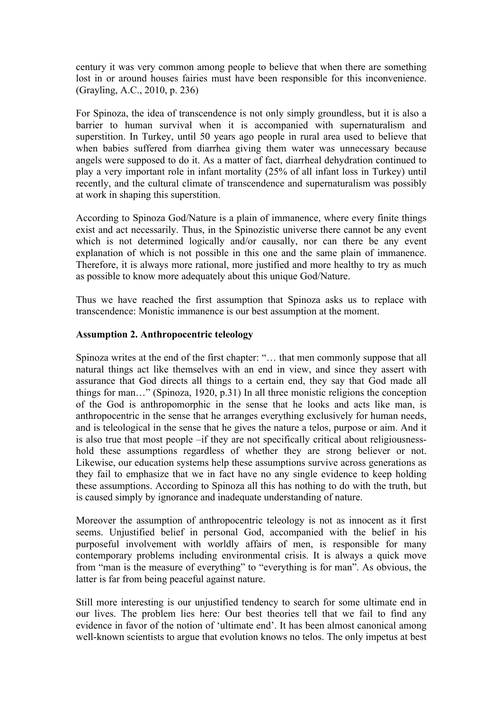century it was very common among people to believe that when there are something lost in or around houses fairies must have been responsible for this inconvenience. (Grayling, A.C., 2010, p. 236)

For Spinoza, the idea of transcendence is not only simply groundless, but it is also a barrier to human survival when it is accompanied with supernaturalism and superstition. In Turkey, until 50 years ago people in rural area used to believe that when babies suffered from diarrhea giving them water was unnecessary because angels were supposed to do it. As a matter of fact, diarrheal dehydration continued to play a very important role in infant mortality (25% of all infant loss in Turkey) until recently, and the cultural climate of transcendence and supernaturalism was possibly at work in shaping this superstition.

According to Spinoza God/Nature is a plain of immanence, where every finite things exist and act necessarily. Thus, in the Spinozistic universe there cannot be any event which is not determined logically and/or causally, nor can there be any event explanation of which is not possible in this one and the same plain of immanence. Therefore, it is always more rational, more justified and more healthy to try as much as possible to know more adequately about this unique God/Nature.

Thus we have reached the first assumption that Spinoza asks us to replace with transcendence: Monistic immanence is our best assumption at the moment.

## **Assumption 2. Anthropocentric teleology**

Spinoza writes at the end of the first chapter: "… that men commonly suppose that all natural things act like themselves with an end in view, and since they assert with assurance that God directs all things to a certain end, they say that God made all things for man…" (Spinoza, 1920, p.31) In all three monistic religions the conception of the God is anthropomorphic in the sense that he looks and acts like man, is anthropocentric in the sense that he arranges everything exclusively for human needs, and is teleological in the sense that he gives the nature a telos, purpose or aim. And it is also true that most people –if they are not specifically critical about religiousnesshold these assumptions regardless of whether they are strong believer or not. Likewise, our education systems help these assumptions survive across generations as they fail to emphasize that we in fact have no any single evidence to keep holding these assumptions. According to Spinoza all this has nothing to do with the truth, but is caused simply by ignorance and inadequate understanding of nature.

Moreover the assumption of anthropocentric teleology is not as innocent as it first seems. Unjustified belief in personal God, accompanied with the belief in his purposeful involvement with worldly affairs of men, is responsible for many contemporary problems including environmental crisis. It is always a quick move from "man is the measure of everything" to "everything is for man". As obvious, the latter is far from being peaceful against nature.

Still more interesting is our unjustified tendency to search for some ultimate end in our lives. The problem lies here: Our best theories tell that we fail to find any evidence in favor of the notion of 'ultimate end'. It has been almost canonical among well-known scientists to argue that evolution knows no telos. The only impetus at best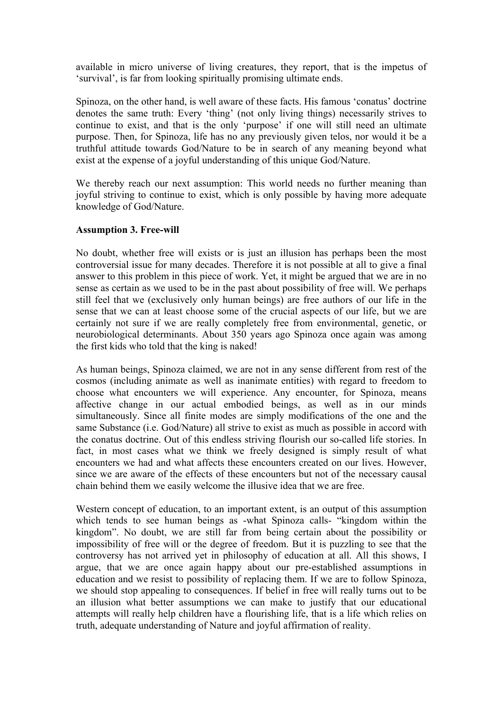available in micro universe of living creatures, they report, that is the impetus of 'survival', is far from looking spiritually promising ultimate ends.

Spinoza, on the other hand, is well aware of these facts. His famous 'conatus' doctrine denotes the same truth: Every 'thing' (not only living things) necessarily strives to continue to exist, and that is the only 'purpose' if one will still need an ultimate purpose. Then, for Spinoza, life has no any previously given telos, nor would it be a truthful attitude towards God/Nature to be in search of any meaning beyond what exist at the expense of a joyful understanding of this unique God/Nature.

We thereby reach our next assumption: This world needs no further meaning than joyful striving to continue to exist, which is only possible by having more adequate knowledge of God/Nature.

# **Assumption 3. Free-will**

No doubt, whether free will exists or is just an illusion has perhaps been the most controversial issue for many decades. Therefore it is not possible at all to give a final answer to this problem in this piece of work. Yet, it might be argued that we are in no sense as certain as we used to be in the past about possibility of free will. We perhaps still feel that we (exclusively only human beings) are free authors of our life in the sense that we can at least choose some of the crucial aspects of our life, but we are certainly not sure if we are really completely free from environmental, genetic, or neurobiological determinants. About 350 years ago Spinoza once again was among the first kids who told that the king is naked!

As human beings, Spinoza claimed, we are not in any sense different from rest of the cosmos (including animate as well as inanimate entities) with regard to freedom to choose what encounters we will experience. Any encounter, for Spinoza, means affective change in our actual embodied beings, as well as in our minds simultaneously. Since all finite modes are simply modifications of the one and the same Substance (i.e. God/Nature) all strive to exist as much as possible in accord with the conatus doctrine. Out of this endless striving flourish our so-called life stories. In fact, in most cases what we think we freely designed is simply result of what encounters we had and what affects these encounters created on our lives. However, since we are aware of the effects of these encounters but not of the necessary causal chain behind them we easily welcome the illusive idea that we are free.

Western concept of education, to an important extent, is an output of this assumption which tends to see human beings as -what Spinoza calls- "kingdom within the kingdom". No doubt, we are still far from being certain about the possibility or impossibility of free will or the degree of freedom. But it is puzzling to see that the controversy has not arrived yet in philosophy of education at all. All this shows, I argue, that we are once again happy about our pre-established assumptions in education and we resist to possibility of replacing them. If we are to follow Spinoza, we should stop appealing to consequences. If belief in free will really turns out to be an illusion what better assumptions we can make to justify that our educational attempts will really help children have a flourishing life, that is a life which relies on truth, adequate understanding of Nature and joyful affirmation of reality.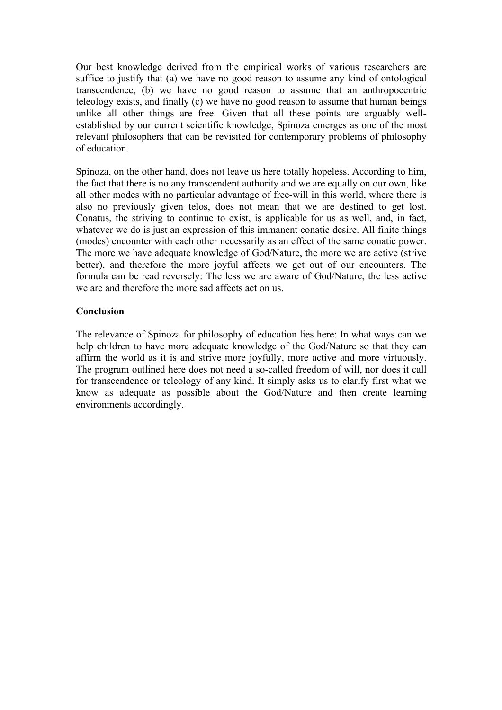Our best knowledge derived from the empirical works of various researchers are suffice to justify that (a) we have no good reason to assume any kind of ontological transcendence, (b) we have no good reason to assume that an anthropocentric teleology exists, and finally (c) we have no good reason to assume that human beings unlike all other things are free. Given that all these points are arguably wellestablished by our current scientific knowledge, Spinoza emerges as one of the most relevant philosophers that can be revisited for contemporary problems of philosophy of education.

Spinoza, on the other hand, does not leave us here totally hopeless. According to him, the fact that there is no any transcendent authority and we are equally on our own, like all other modes with no particular advantage of free-will in this world, where there is also no previously given telos, does not mean that we are destined to get lost. Conatus, the striving to continue to exist, is applicable for us as well, and, in fact, whatever we do is just an expression of this immanent conatic desire. All finite things (modes) encounter with each other necessarily as an effect of the same conatic power. The more we have adequate knowledge of God/Nature, the more we are active (strive better), and therefore the more joyful affects we get out of our encounters. The formula can be read reversely: The less we are aware of God/Nature, the less active we are and therefore the more sad affects act on us.

# **Conclusion**

The relevance of Spinoza for philosophy of education lies here: In what ways can we help children to have more adequate knowledge of the God/Nature so that they can affirm the world as it is and strive more joyfully, more active and more virtuously. The program outlined here does not need a so-called freedom of will, nor does it call for transcendence or teleology of any kind. It simply asks us to clarify first what we know as adequate as possible about the God/Nature and then create learning environments accordingly.